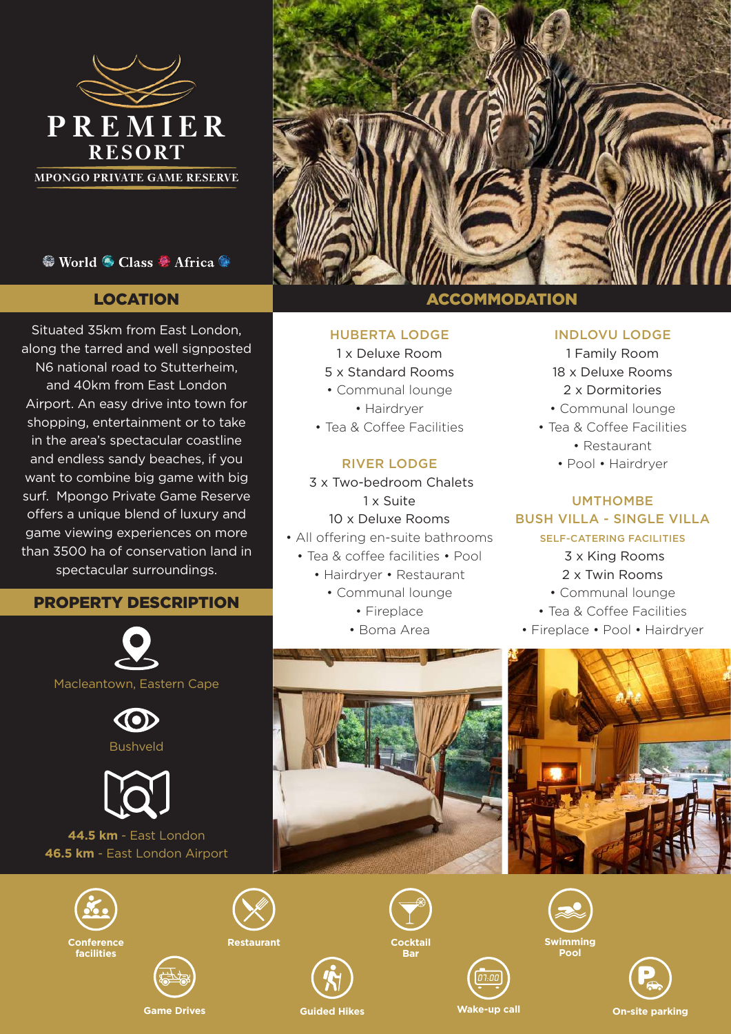

**MPONGO PRIVATE GAME RESERVE**

## <sup>©</sup> World <sup>⊙</sup> Class <sup>®</sup> Africa <sup>®</sup>

# LOCATION

Situated 35km from East London, along the tarred and well signposted N6 national road to Stutterheim, and 40km from East London Airport. An easy drive into town for shopping, entertainment or to take in the area's spectacular coastline and endless sandy beaches, if you want to combine big game with big surf. Mpongo Private Game Reserve offers a unique blend of luxury and game viewing experiences on more than 3500 ha of conservation land in spectacular surroundings.

# PROPERTY DESCRIPTION







## **44.5 km** - East London **46.5 km** - East London Airport











#### HUBERTA LODGE

- 1 x Deluxe Room
- 5 x Standard Rooms
- Communal lounge
	- Hairdryer
- Tea & Coffee Facilities

### RIVER LODGE

- 3 x Two-bedroom Chalets 1 x Suite 10 x Deluxe Rooms • All offering en-suite bathrooms • Tea & coffee facilities • Pool • Hairdryer • Restaurant • Communal lounge
	- Fireplace
	- Boma Area

# ACCOMMODATION

#### INDLOVU LODGE

- 1 Family Room 18 x Deluxe Rooms 2 x Dormitories
- Communal lounge
- Tea & Coffee Facilities
	- Restaurant
	- Pool Hairdryer

### UMTHOMBE BUSH VILLA - SINGLE VILLA

#### SELF-CATERING FACILITIES

- 3 x King Rooms
- 2 x Twin Rooms
- Communal lounge
- Tea & Coffee Facilities
- Fireplace Pool Hairdryer



**Bar**









**Pool**



**Wake-up call**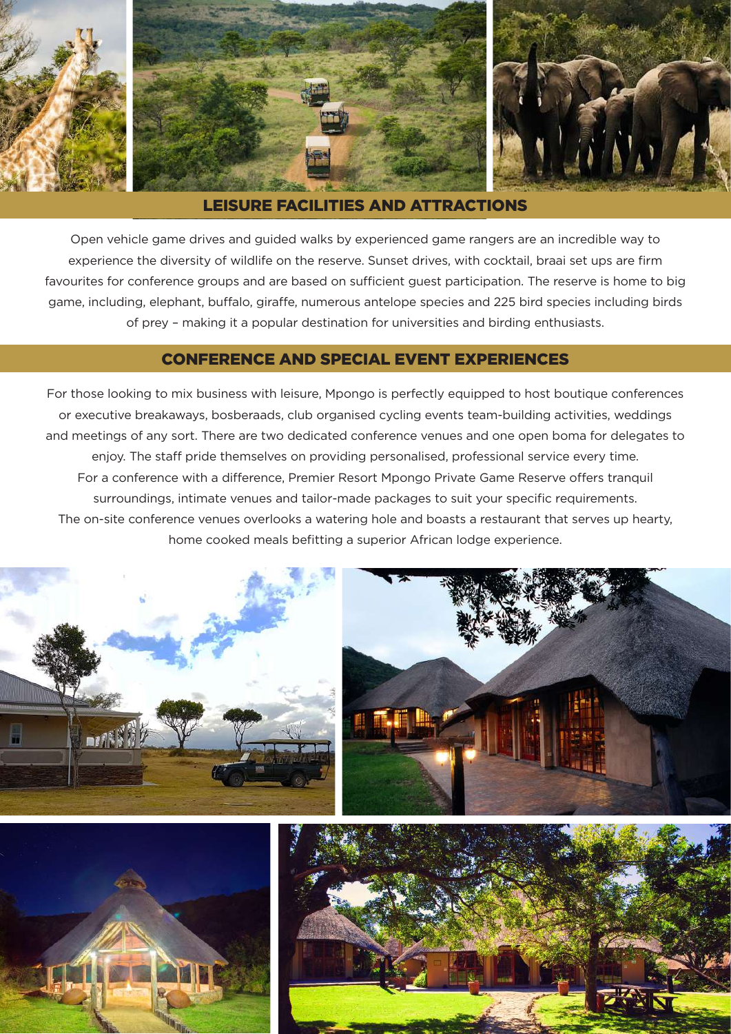

#### LEISURE FACILITIES AND ATTRACTIONS

Open vehicle game drives and guided walks by experienced game rangers are an incredible way to experience the diversity of wildlife on the reserve. Sunset drives, with cocktail, braai set ups are firm favourites for conference groups and are based on sufficient guest participation. The reserve is home to big game, including, elephant, buffalo, giraffe, numerous antelope species and 225 bird species including birds of prey – making it a popular destination for universities and birding enthusiasts.

### CONFERENCE AND SPECIAL EVENT EXPERIENCES

For those looking to mix business with leisure, Mpongo is perfectly equipped to host boutique conferences or executive breakaways, bosberaads, club organised cycling events team-building activities, weddings and meetings of any sort. There are two dedicated conference venues and one open boma for delegates to enjoy. The staff pride themselves on providing personalised, professional service every time. For a conference with a difference, Premier Resort Mpongo Private Game Reserve offers tranquil surroundings, intimate venues and tailor-made packages to suit your specific requirements. The on-site conference venues overlooks a watering hole and boasts a restaurant that serves up hearty, home cooked meals befitting a superior African lodge experience.